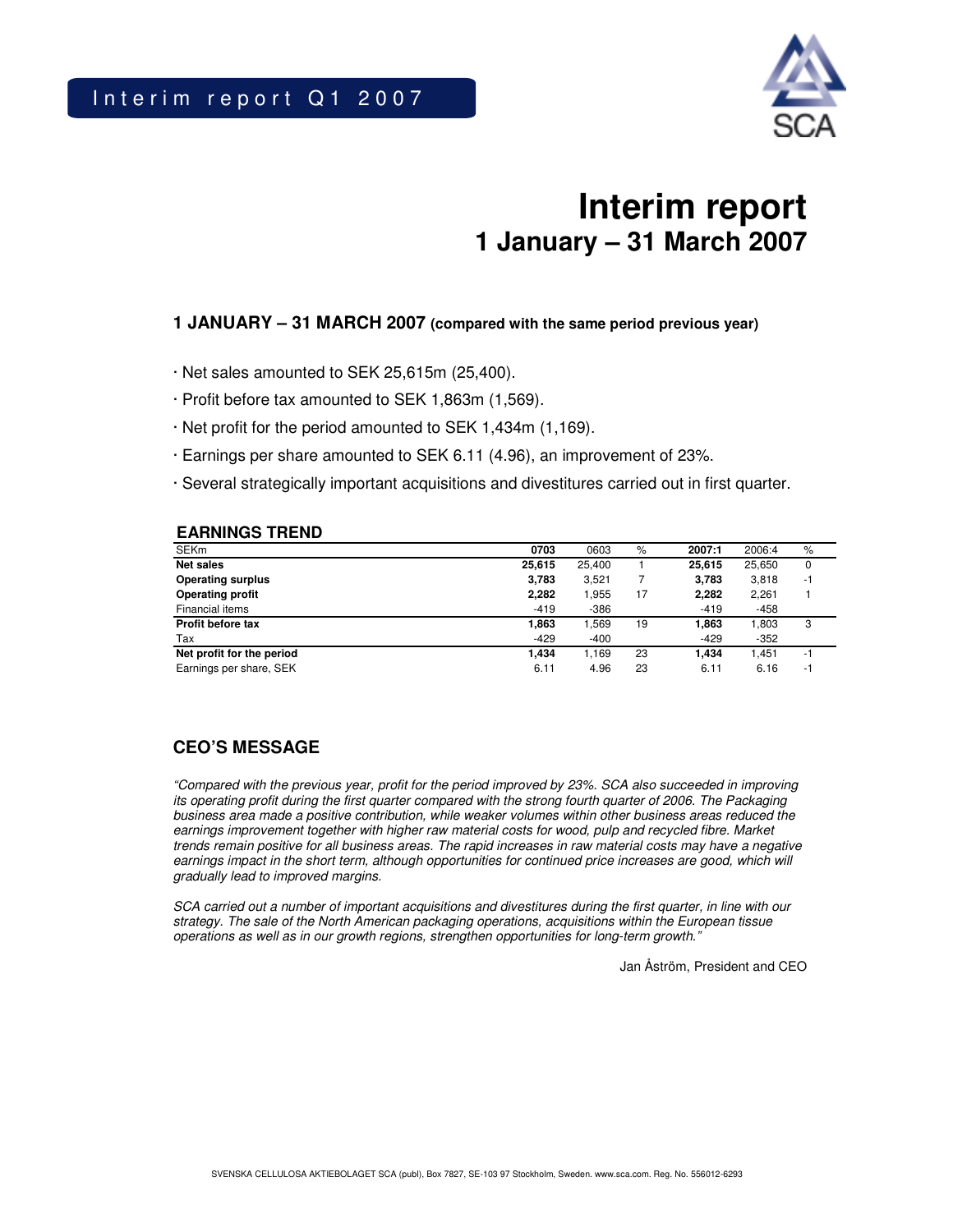

# **Interim report 1 January – 31 March 2007**

### **1 JANUARY – 31 MARCH 2007 (compared with the same period previous year)**

- · Net sales amounted to SEK 25,615m (25,400).
- · Profit before tax amounted to SEK 1,863m (1,569).
- · Net profit for the period amounted to SEK 1,434m (1,169).
- · Earnings per share amounted to SEK 6.11 (4.96), an improvement of 23%.
- · Several strategically important acquisitions and divestitures carried out in first quarter.

#### **EARNINGS TREND**

| <b>SEKm</b>               | 0703   | 0603   | %  | 2007:1 | 2006:4 | $\%$ |
|---------------------------|--------|--------|----|--------|--------|------|
| <b>Net sales</b>          | 25.615 | 25.400 |    | 25.615 | 25,650 | 0    |
| <b>Operating surplus</b>  | 3,783  | 3.521  |    | 3,783  | 3,818  | -1   |
| <b>Operating profit</b>   | 2,282  | .955   | 17 | 2,282  | 2,261  |      |
| Financial items           | $-419$ | $-386$ |    | $-419$ | $-458$ |      |
| <b>Profit before tax</b>  | 1,863  | .569   | 19 | 1,863  | 1,803  | 3    |
| Tax                       | $-429$ | $-400$ |    | $-429$ | $-352$ |      |
| Net profit for the period | 1.434  | 1.169  | 23 | 1.434  | 1.451  | -1   |
| Earnings per share, SEK   | 6.11   | 4.96   | 23 | 6.11   | 6.16   | ÷.   |

### **CEO'S MESSAGE**

*"Compared with the previous year, profit for the period improved by 23%. SCA also succeeded in improving* its operating profit during the first quarter compared with the strong fourth quarter of 2006. The Packaging *business area made a positive contribution, while weaker volumes within other business areas reduced the earnings improvement together with higher raw material costs for wood, pulp and recycled fibre. Market* trends remain positive for all business areas. The rapid increases in raw material costs may have a negative *earnings impact in the short term, although opportunities for continued price increases are good, which will gradually lead to improved margins.*

SCA carried out a number of important acquisitions and divestitures during the first quarter, in line with our *strategy. The sale of the North American packaging operations, acquisitions within the European tissue operations as well as in our growth regions, strengthen opportunities for long-term growth."*

Jan Åström, President and CEO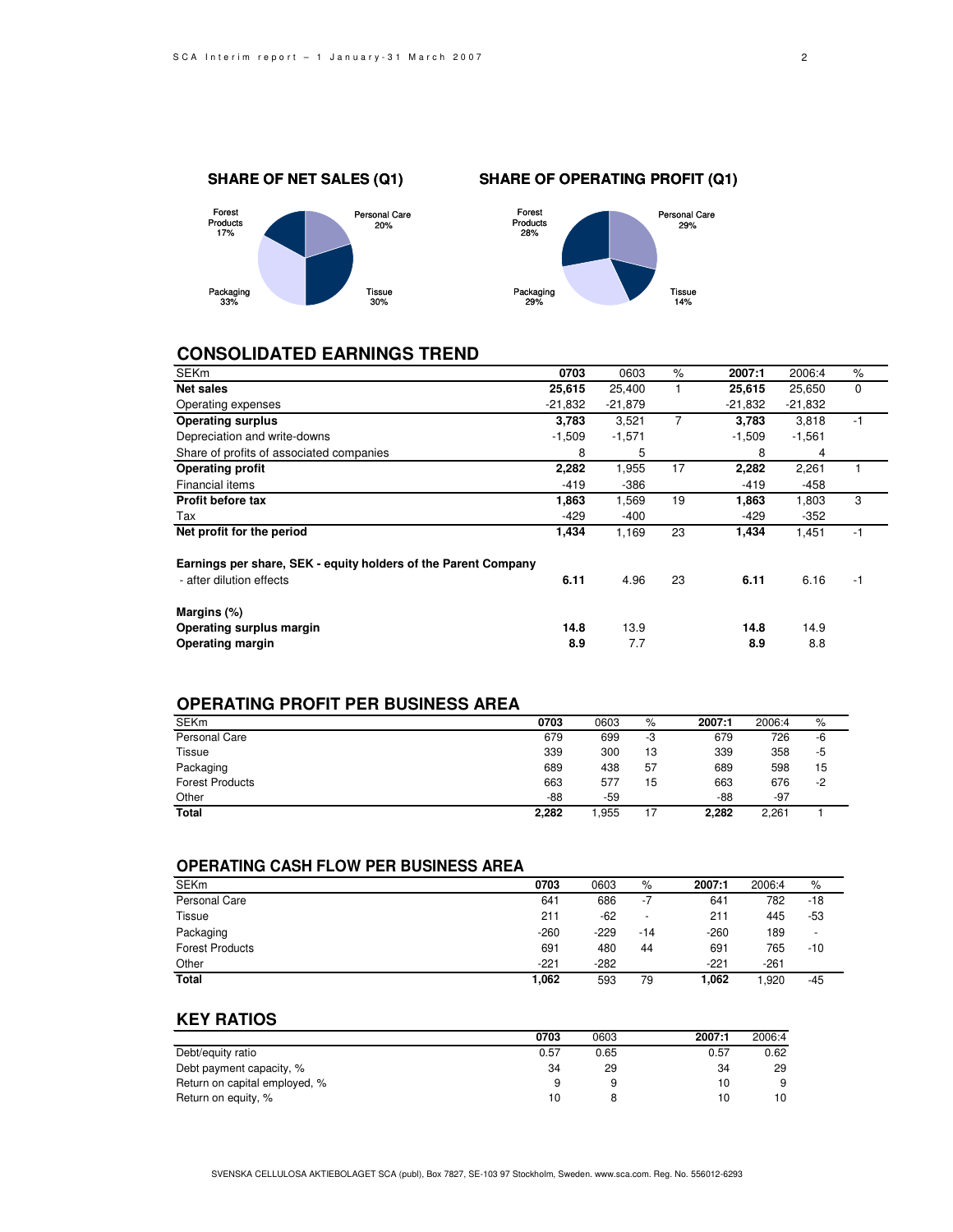

### **CONSOLIDATED EARNINGS TREND**

| <b>SEKm</b>                                                    | 0703      | 0603      | $\frac{9}{6}$  | 2007:1    |           | $\%$        |
|----------------------------------------------------------------|-----------|-----------|----------------|-----------|-----------|-------------|
|                                                                |           |           |                |           | 2006:4    |             |
| Net sales                                                      | 25,615    | 25,400    |                | 25,615    | 25,650    | $\mathbf 0$ |
| Operating expenses                                             | $-21,832$ | $-21,879$ |                | $-21,832$ | $-21,832$ |             |
| <b>Operating surplus</b>                                       | 3,783     | 3,521     | $\overline{7}$ | 3,783     | 3,818     | $-1$        |
| Depreciation and write-downs                                   | $-1,509$  | $-1,571$  |                | $-1,509$  | $-1,561$  |             |
| Share of profits of associated companies                       | 8         | 5         |                | 8         | 4         |             |
| <b>Operating profit</b>                                        | 2,282     | 1,955     | 17             | 2,282     | 2,261     |             |
| Financial items                                                | $-419$    | $-386$    |                | $-419$    | -458      |             |
| <b>Profit before tax</b>                                       | 1,863     | 1,569     | 19             | 1,863     | 1,803     | 3           |
| Tax                                                            | $-429$    | $-400$    |                | $-429$    | $-352$    |             |
| Net profit for the period                                      | 1,434     | 1,169     | 23             | 1,434     | 1,451     | $-1$        |
| Earnings per share, SEK - equity holders of the Parent Company |           |           |                |           |           |             |
| - after dilution effects                                       | 6.11      | 4.96      | 23             | 6.11      | 6.16      | -1          |
| Margins (%)                                                    |           |           |                |           |           |             |
| Operating surplus margin                                       | 14.8      | 13.9      |                | 14.8      | 14.9      |             |
| Operating margin                                               | 8.9       | 7.7       |                | 8.9       | 8.8       |             |

### **OPERATING PROFIT PER BUSINESS AREA**

| <b>SEKm</b>            | 0703  | 0603 | %  | 2007:1 | 2006:4 | %    |
|------------------------|-------|------|----|--------|--------|------|
| <b>Personal Care</b>   | 679   | 699  | -3 | 679    | 726    | -6   |
| <b>Tissue</b>          | 339   | 300  | 13 | 339    | 358    | -5   |
| Packaging              | 689   | 438  | 57 | 689    | 598    | 15   |
| <b>Forest Products</b> | 663   | 577  | 15 | 663    | 676    | $-2$ |
| Other                  | -88   | -59  |    | -88    | $-97$  |      |
| Total                  | 2,282 | .955 | 17 | 2.282  | 2,261  |      |

### **OPERATING CASH FLOW PER BUSINESS AREA**

| <b>SEK<sub>m</sub></b> | 0703   | 0603   | %                        | 2007:1 | 2006:4 | %     |
|------------------------|--------|--------|--------------------------|--------|--------|-------|
| Personal Care          | 641    | 686    | -7                       | 641    | 782    | $-18$ |
| Tissue                 | 211    | $-62$  | $\overline{\phantom{a}}$ | 211    | 445    | $-53$ |
| Packaging              | $-260$ | $-229$ | -14                      | $-260$ | 189    | -     |
| <b>Forest Products</b> | 691    | 480    | 44                       | 691    | 765    | -10   |
| Other                  | $-221$ | $-282$ |                          | $-221$ | $-261$ |       |
| <b>Total</b>           | 1,062  | 593    | 79                       | 1.062  | 920.   | $-45$ |

### **KEY RATIOS**

|                               | 0703 | 0603 | 2007:1 | 2006:4 |
|-------------------------------|------|------|--------|--------|
| Debt/equity ratio             | 0.57 | 0.65 | 0.57   | 0.62   |
| Debt payment capacity, %      | 34   | 29   | 34     | 29     |
| Return on capital employed, % | a    |      | 10     | 9      |
| Return on equity, %           | 10   |      | 10     | 10     |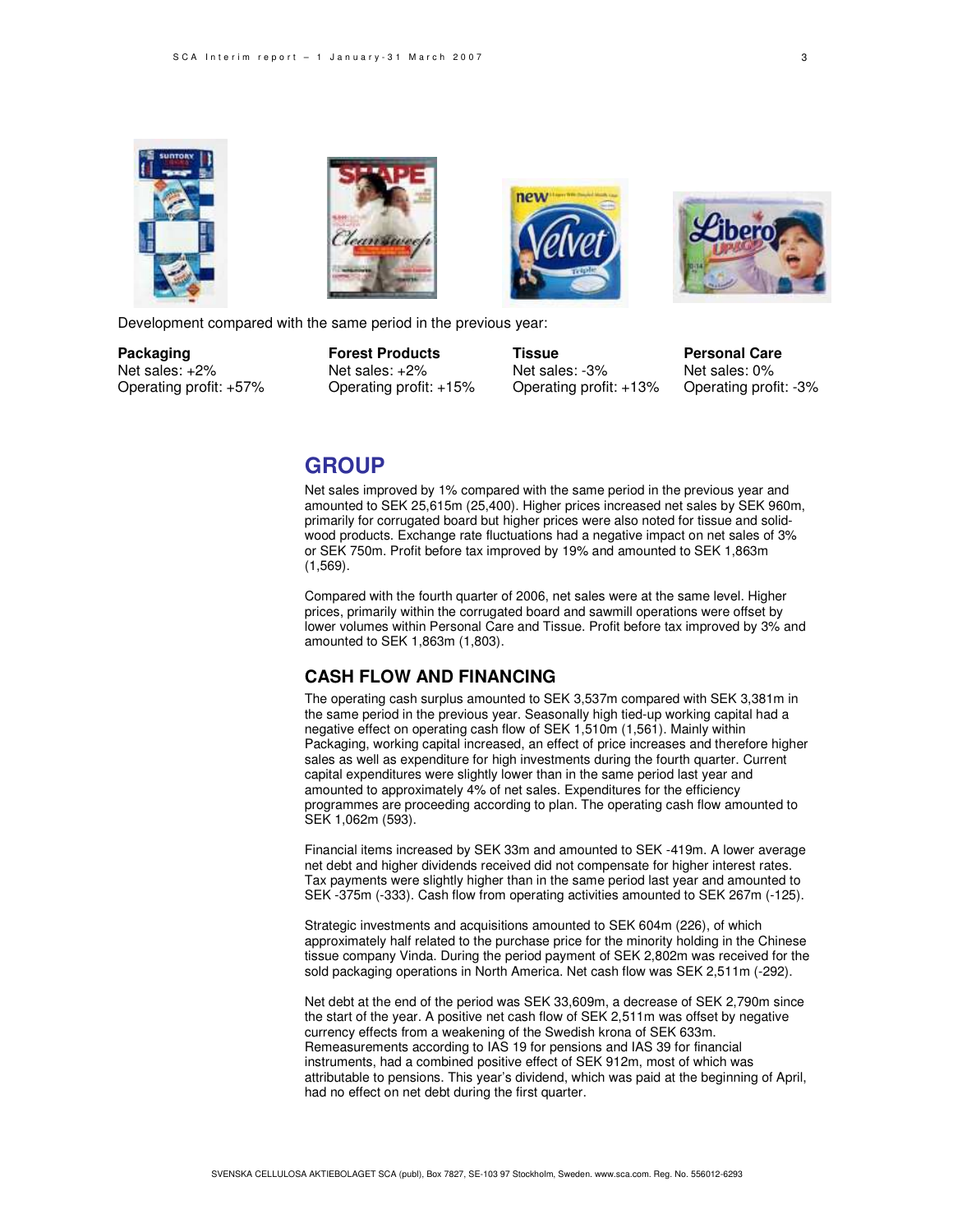







Development compared with the same period in the previous year:

**Packaging Forest Products Tissue Personal Care** Net sales:  $+2\%$  Net sales:  $+2\%$  Net sales:  $-3\%$  Net sales: 0% Operating profit: +57% Operating profit: +15% Operating profit: +13% Operating profit: -3%

### **GROUP**

Net sales improved by 1% compared with the same period in the previous year and amounted to SEK 25,615m (25,400). Higher prices increased net sales by SEK 960m, primarily for corrugated board but higher prices were also noted for tissue and solidwood products. Exchange rate fluctuations had a negative impact on net sales of 3% or SEK 750m. Profit before tax improved by 19% and amounted to SEK 1,863m (1,569).

Compared with the fourth quarter of 2006, net sales were at the same level. Higher prices, primarily within the corrugated board and sawmill operations were offset by lower volumes within Personal Care and Tissue. Profit before tax improved by 3% and amounted to SEK 1,863m (1,803).

### **CASH FLOW AND FINANCING**

The operating cash surplus amounted to SEK 3,537m compared with SEK 3,381m in the same period in the previous year. Seasonally high tied-up working capital had a negative effect on operating cash flow of SEK 1,510m (1,561). Mainly within Packaging, working capital increased, an effect of price increases and therefore higher sales as well as expenditure for high investments during the fourth quarter. Current capital expenditures were slightly lower than in the same period last year and amounted to approximately 4% of net sales. Expenditures for the efficiency programmes are proceeding according to plan. The operating cash flow amounted to SEK 1,062m (593).

Financial items increased by SEK 33m and amounted to SEK -419m. A lower average net debt and higher dividends received did not compensate for higher interest rates. Tax payments were slightly higher than in the same period last year and amounted to SEK -375m (-333). Cash flow from operating activities amounted to SEK 267m (-125).

Strategic investments and acquisitions amounted to SEK 604m (226), of which approximately half related to the purchase price for the minority holding in the Chinese tissue company Vinda. During the period payment of SEK 2,802m was received for the sold packaging operations in North America. Net cash flow was SEK 2,511m (-292).

Net debt at the end of the period was SEK 33,609m, a decrease of SEK 2,790m since the start of the year. A positive net cash flow of SEK 2,511m was offset by negative currency effects from a weakening of the Swedish krona of SEK 633m. Remeasurements according to IAS 19 for pensions and IAS 39 for financial instruments, had a combined positive effect of SEK 912m, most of which was attributable to pensions. This year's dividend, which was paid at the beginning of April, had no effect on net debt during the first quarter.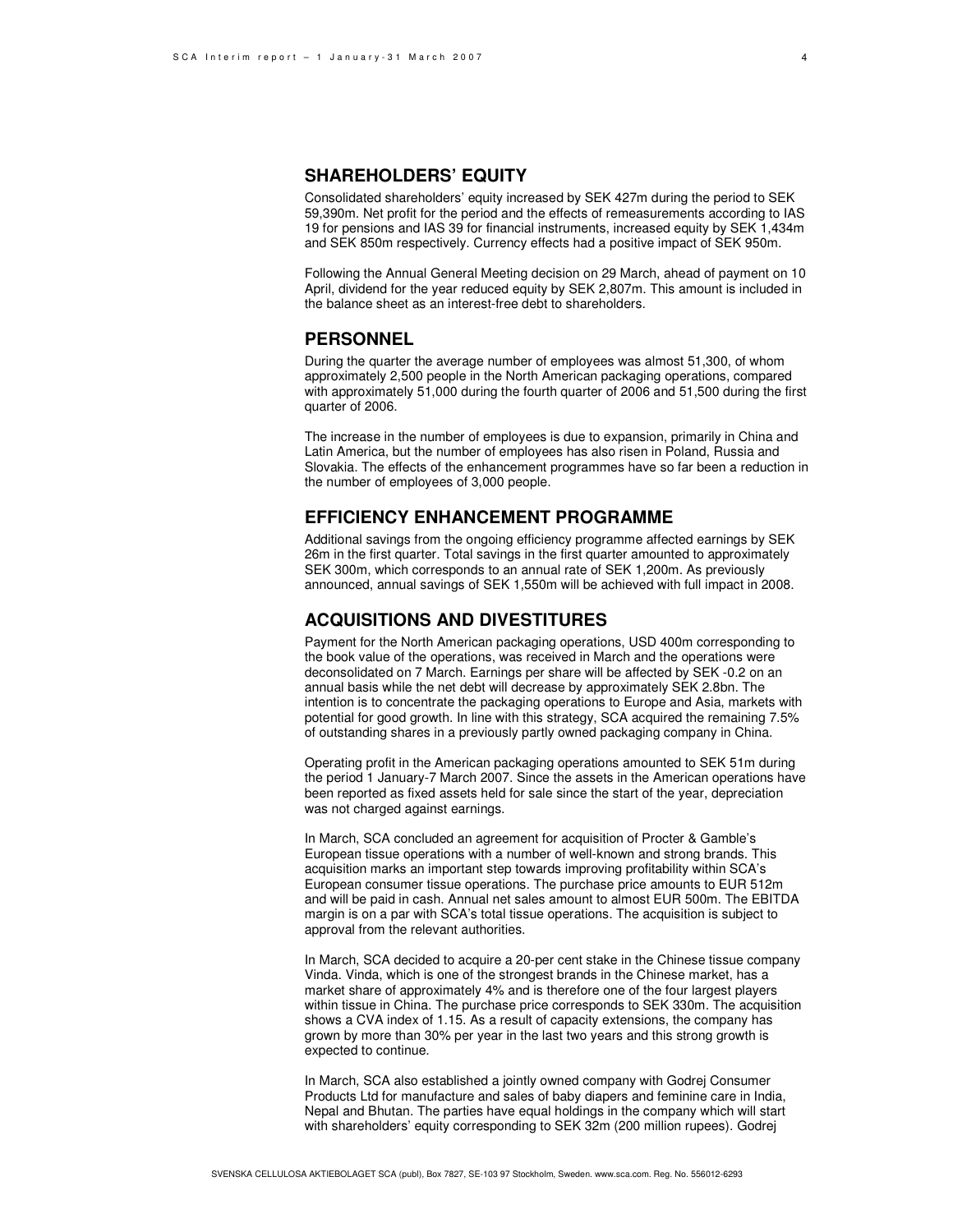### **SHAREHOLDERS' EQUITY**

Consolidated shareholders' equity increased by SEK 427m during the period to SEK 59,390m. Net profit for the period and the effects of remeasurements according to IAS 19 for pensions and IAS 39 for financial instruments, increased equity by SEK 1,434m and SEK 850m respectively. Currency effects had a positive impact of SEK 950m.

Following the Annual General Meeting decision on 29 March, ahead of payment on 10 April, dividend for the year reduced equity by SEK 2,807m. This amount is included in the balance sheet as an interest-free debt to shareholders.

#### **PERSONNEL**

During the quarter the average number of employees was almost 51,300, of whom approximately 2,500 people in the North American packaging operations, compared with approximately 51,000 during the fourth quarter of 2006 and 51,500 during the first quarter of 2006.

The increase in the number of employees is due to expansion, primarily in China and Latin America, but the number of employees has also risen in Poland, Russia and Slovakia. The effects of the enhancement programmes have so far been a reduction in the number of employees of 3,000 people.

#### **EFFICIENCY ENHANCEMENT PROGRAMME**

Additional savings from the ongoing efficiency programme affected earnings by SEK 26m in the first quarter. Total savings in the first quarter amounted to approximately SEK 300m, which corresponds to an annual rate of SEK 1,200m. As previously announced, annual savings of SEK 1,550m will be achieved with full impact in 2008.

#### **ACQUISITIONS AND DIVESTITURES**

Payment for the North American packaging operations, USD 400m corresponding to the book value of the operations, was received in March and the operations were deconsolidated on 7 March. Earnings per share will be affected by SEK -0.2 on an annual basis while the net debt will decrease by approximately SEK 2.8bn. The intention is to concentrate the packaging operations to Europe and Asia, markets with potential for good growth. In line with this strategy, SCA acquired the remaining 7.5% of outstanding shares in a previously partly owned packaging company in China.

Operating profit in the American packaging operations amounted to SEK 51m during the period 1 January-7 March 2007. Since the assets in the American operations have been reported as fixed assets held for sale since the start of the year, depreciation was not charged against earnings.

In March, SCA concluded an agreement for acquisition of Procter & Gamble's European tissue operations with a number of well-known and strong brands. This acquisition marks an important step towards improving profitability within SCA's European consumer tissue operations. The purchase price amounts to EUR 512m and will be paid in cash. Annual net sales amount to almost EUR 500m. The EBITDA margin is on a par with SCA's total tissue operations. The acquisition is subject to approval from the relevant authorities.

In March, SCA decided to acquire a 20-per cent stake in the Chinese tissue company Vinda. Vinda, which is one of the strongest brands in the Chinese market, has a market share of approximately 4% and is therefore one of the four largest players within tissue in China. The purchase price corresponds to SEK 330m. The acquisition shows a CVA index of 1.15. As a result of capacity extensions, the company has grown by more than 30% per year in the last two years and this strong growth is expected to continue.

In March, SCA also established a jointly owned company with Godrej Consumer Products Ltd for manufacture and sales of baby diapers and feminine care in India, Nepal and Bhutan. The parties have equal holdings in the company which will start with shareholders' equity corresponding to SEK 32m (200 million rupees). Godrej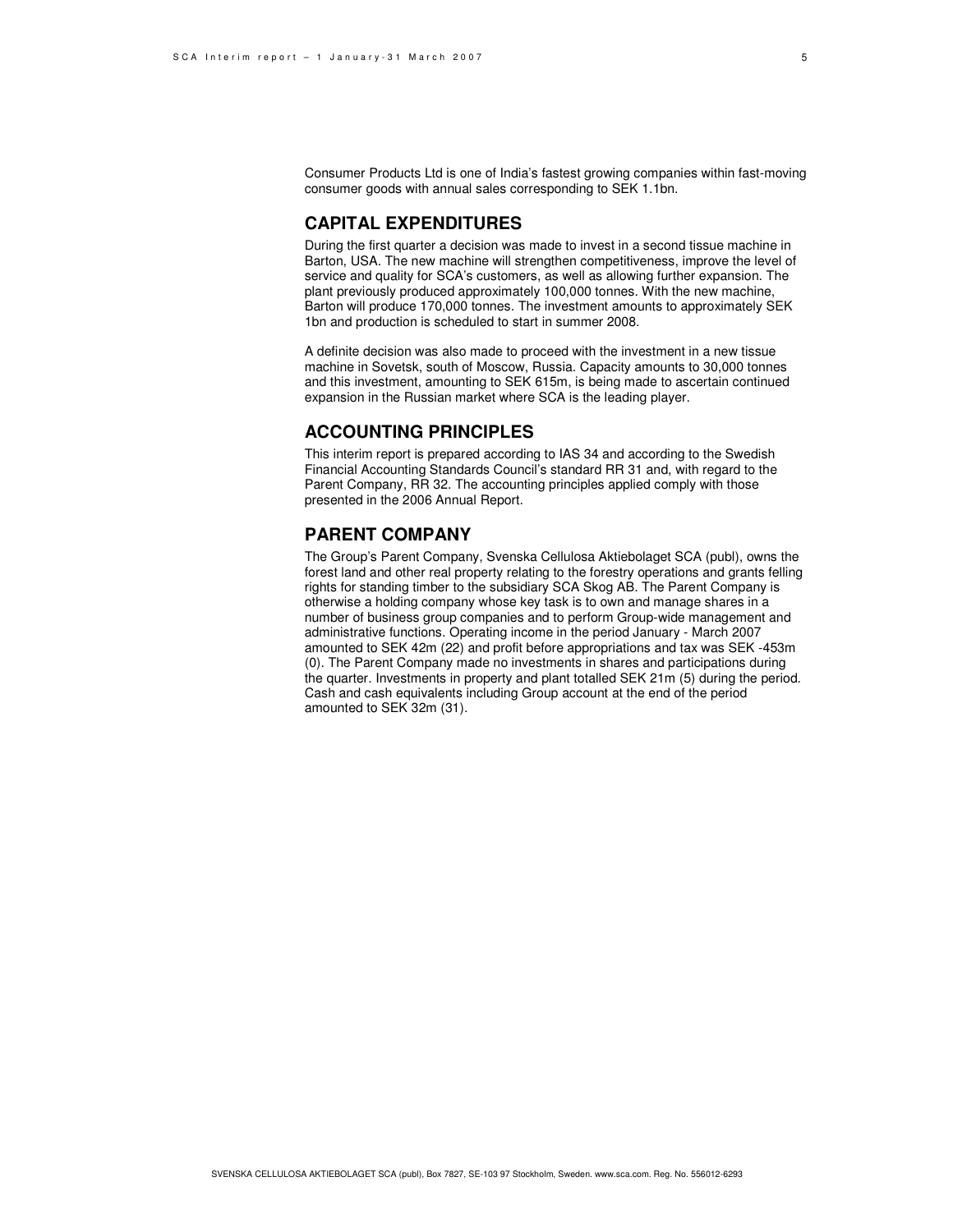### **CAPITAL EXPENDITURES**

During the first quarter a decision was made to invest in a second tissue machine in Barton, USA. The new machine will strengthen competitiveness, improve the level of service and quality for SCA's customers, as well as allowing further expansion. The plant previously produced approximately 100,000 tonnes. With the new machine, Barton will produce 170,000 tonnes. The investment amounts to approximately SEK 1bn and production is scheduled to start in summer 2008.

A definite decision was also made to proceed with the investment in a new tissue machine in Sovetsk, south of Moscow, Russia. Capacity amounts to 30,000 tonnes and this investment, amounting to SEK 615m, is being made to ascertain continued expansion in the Russian market where SCA is the leading player.

#### **ACCOUNTING PRINCIPLES**

This interim report is prepared according to IAS 34 and according to the Swedish Financial Accounting Standards Council's standard RR 31 and, with regard to the Parent Company, RR 32. The accounting principles applied comply with those presented in the 2006 Annual Report.

### **PARENT COMPANY**

The Group's Parent Company, Svenska Cellulosa Aktiebolaget SCA (publ), owns the forest land and other real property relating to the forestry operations and grants felling rights for standing timber to the subsidiary SCA Skog AB. The Parent Company is otherwise a holding company whose key task is to own and manage shares in a number of business group companies and to perform Group-wide management and administrative functions. Operating income in the period January - March 2007 amounted to SEK 42m (22) and profit before appropriations and tax was SEK -453m (0). The Parent Company made no investments in shares and participations during the quarter. Investments in property and plant totalled SEK 21m (5) during the period. Cash and cash equivalents including Group account at the end of the period amounted to SEK 32m (31).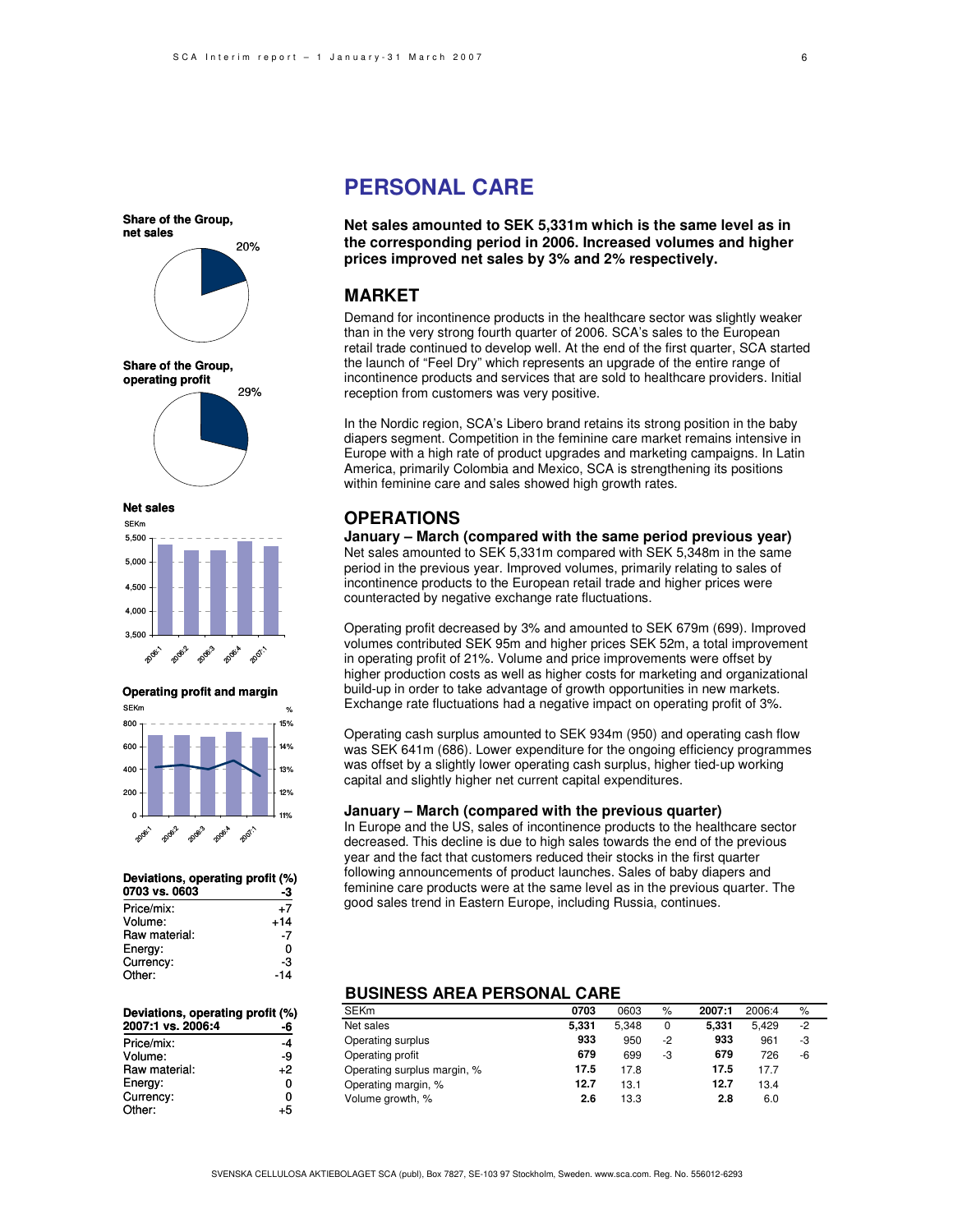**net sales Share of the Group, operating profit** 20% 29%

**Share of the Group,**







| Deviations, operating profit (%) |       |  |  |  |
|----------------------------------|-------|--|--|--|
| 0703 vs. 0603                    |       |  |  |  |
| Price/mix:                       | +7    |  |  |  |
| Volume:                          | $+14$ |  |  |  |
| Raw material:                    | -7    |  |  |  |
| Energy:                          | 0     |  |  |  |
| Currency:                        | -3    |  |  |  |
| Other:                           | $-14$ |  |  |  |

| Deviations, operating profit (%)<br>2007:1 vs. 2006:4 | -6   |
|-------------------------------------------------------|------|
| Price/mix:                                            | -4   |
| Volume:                                               | -9   |
| Raw material:                                         | $+2$ |
| Energy:                                               | 0    |
| Currency:                                             | 0    |
| Other:                                                | 5    |

## **PERSONAL CARE**

**Net sales amounted to SEK 5,331m which is the same level as in the corresponding period in 2006. Increased volumes and higher prices improved net sales by 3% and 2% respectively.**

### **MARKET**

Demand for incontinence products in the healthcare sector was slightly weaker than in the very strong fourth quarter of 2006. SCA's sales to the European retail trade continued to develop well. At the end of the first quarter, SCA started the launch of "Feel Dry" which represents an upgrade of the entire range of incontinence products and services that are sold to healthcare providers. Initial reception from customers was very positive.

In the Nordic region, SCA's Libero brand retains its strong position in the baby diapers segment. Competition in the feminine care market remains intensive in Europe with a high rate of product upgrades and marketing campaigns. In Latin America, primarily Colombia and Mexico, SCA is strengthening its positions within feminine care and sales showed high growth rates.

#### **OPERATIONS**

**January – March (compared with the same period previous year)** Net sales amounted to SEK 5,331m compared with SEK 5,348m in the same period in the previous year. Improved volumes, primarily relating to sales of incontinence products to the European retail trade and higher prices were counteracted by negative exchange rate fluctuations.

Operating profit decreased by 3% and amounted to SEK 679m (699). Improved volumes contributed SEK 95m and higher prices SEK 52m, a total improvement in operating profit of 21%. Volume and price improvements were offset by higher production costs as well as higher costs for marketing and organizational build-up in order to take advantage of growth opportunities in new markets. Exchange rate fluctuations had a negative impact on operating profit of 3%.

Operating cash surplus amounted to SEK 934m (950) and operating cash flow was SEK 641m (686). Lower expenditure for the ongoing efficiency programmes was offset by a slightly lower operating cash surplus, higher tied-up working capital and slightly higher net current capital expenditures.

#### **January – March (compared with the previous quarter)**

In Europe and the US, sales of incontinence products to the healthcare sector decreased. This decline is due to high sales towards the end of the previous year and the fact that customers reduced their stocks in the first quarter following announcements of product launches. Sales of baby diapers and feminine care products were at the same level as in the previous quarter. The good sales trend in Eastern Europe, including Russia, continues.

#### **BUSINESS AREA PERSONAL CARE**

| <b>SEKm</b>                 | 0703  | 0603  | $\%$ | 2007:1 | 2006:4 | %    |
|-----------------------------|-------|-------|------|--------|--------|------|
| Net sales                   | 5,331 | 5.348 | 0    | 5.331  | 5.429  | $-2$ |
| Operating surplus           | 933   | 950   | -2   | 933    | 961    | -3   |
| Operating profit            | 679   | 699   | -3   | 679    | 726    | -6   |
| Operating surplus margin, % | 17.5  | 17.8  |      | 17.5   | 17.7   |      |
| Operating margin, %         | 12.7  | 13.1  |      | 12.7   | 13.4   |      |
| Volume growth, %            | 2.6   | 13.3  |      | 2.8    | 6.0    |      |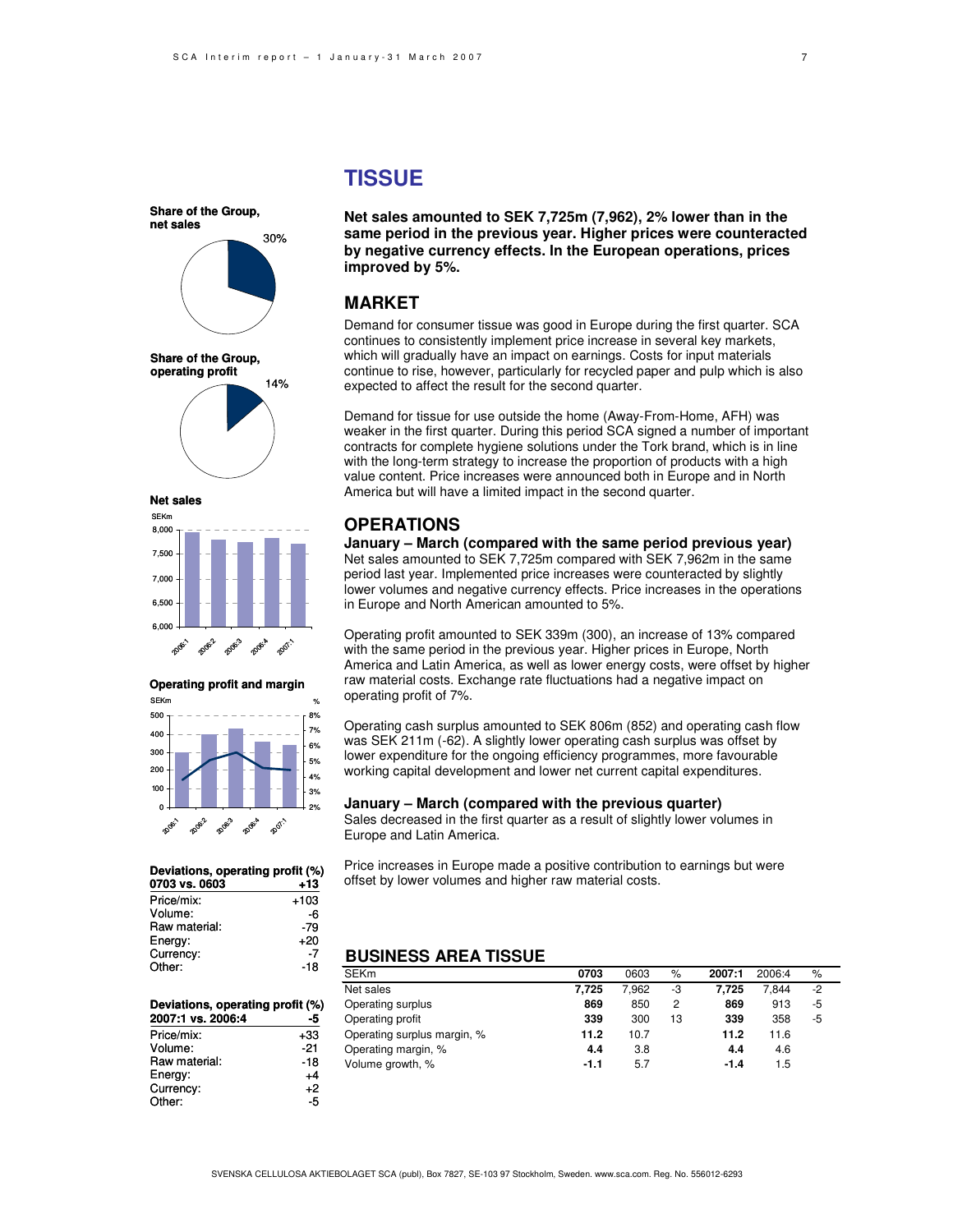**net sales Share of the Group, operating profit** 30% 14%

**Share of the Group,**

**Net sales**





| Deviations, operating profit (%) |        |
|----------------------------------|--------|
| 0703 vs. 0603                    | $+13$  |
| Price/mix:                       | $+103$ |
| Volume:                          | -6     |
| Raw material:                    | -79    |
| Energy:                          | $+20$  |
| Currency:                        | -7     |
| Other:                           | -18    |

#### **-5 Deviations, operating profit (%) 2007:1 vs. 2006:4**

| Price/mix:    | +33   |
|---------------|-------|
| Volume:       | $-21$ |
| Raw material: | -18   |
| Energy:       | +4    |
| Currency:     | +2    |
| Other:        | -5    |

### **TISSUE**

**Net sales amounted to SEK 7,725m (7,962), 2% lower than in the same period in the previous year. Higher prices were counteracted by negative currency effects. In the European operations, prices improved by 5%.**

### **MARKET**

Demand for consumer tissue was good in Europe during the first quarter. SCA continues to consistently implement price increase in several key markets, which will gradually have an impact on earnings. Costs for input materials continue to rise, however, particularly for recycled paper and pulp which is also expected to affect the result for the second quarter.

Demand for tissue for use outside the home (Away-From-Home, AFH) was weaker in the first quarter. During this period SCA signed a number of important contracts for complete hygiene solutions under the Tork brand, which is in line with the long-term strategy to increase the proportion of products with a high value content. Price increases were announced both in Europe and in North America but will have a limited impact in the second quarter.

#### **OPERATIONS**

**January – March (compared with the same period previous year)** Net sales amounted to SEK 7,725m compared with SEK 7,962m in the same period last year. Implemented price increases were counteracted by slightly lower volumes and negative currency effects. Price increases in the operations in Europe and North American amounted to 5%.

Operating profit amounted to SEK 339m (300), an increase of 13% compared with the same period in the previous year. Higher prices in Europe, North America and Latin America, as well as lower energy costs, were offset by higher raw material costs. Exchange rate fluctuations had a negative impact on operating profit of 7%.

Operating cash surplus amounted to SEK 806m (852) and operating cash flow was SEK 211m (-62). A slightly lower operating cash surplus was offset by lower expenditure for the ongoing efficiency programmes, more favourable working capital development and lower net current capital expenditures.

#### **January – March (compared with the previous quarter)**

Sales decreased in the first quarter as a result of slightly lower volumes in Europe and Latin America.

Price increases in Europe made a positive contribution to earnings but were offset by lower volumes and higher raw material costs.

### **BUSINESS AREA TISSUE**

| <b>SEKm</b>                 | 0703   | 0603  | $\%$ | 2007:1 | 2006:4 | %    |
|-----------------------------|--------|-------|------|--------|--------|------|
| Net sales                   | 7.725  | 7.962 | -3   | 7.725  | 7.844  | $-2$ |
| Operating surplus           | 869    | 850   | 2    | 869    | 913    | -5   |
| Operating profit            | 339    | 300   | 13   | 339    | 358    | -5   |
| Operating surplus margin, % | 11.2   | 10.7  |      | 11.2   | 11.6   |      |
| Operating margin, %         | 4.4    | 3.8   |      | 4.4    | 4.6    |      |
| Volume growth, %            | $-1.1$ | 5.7   |      | $-1.4$ | 1.5    |      |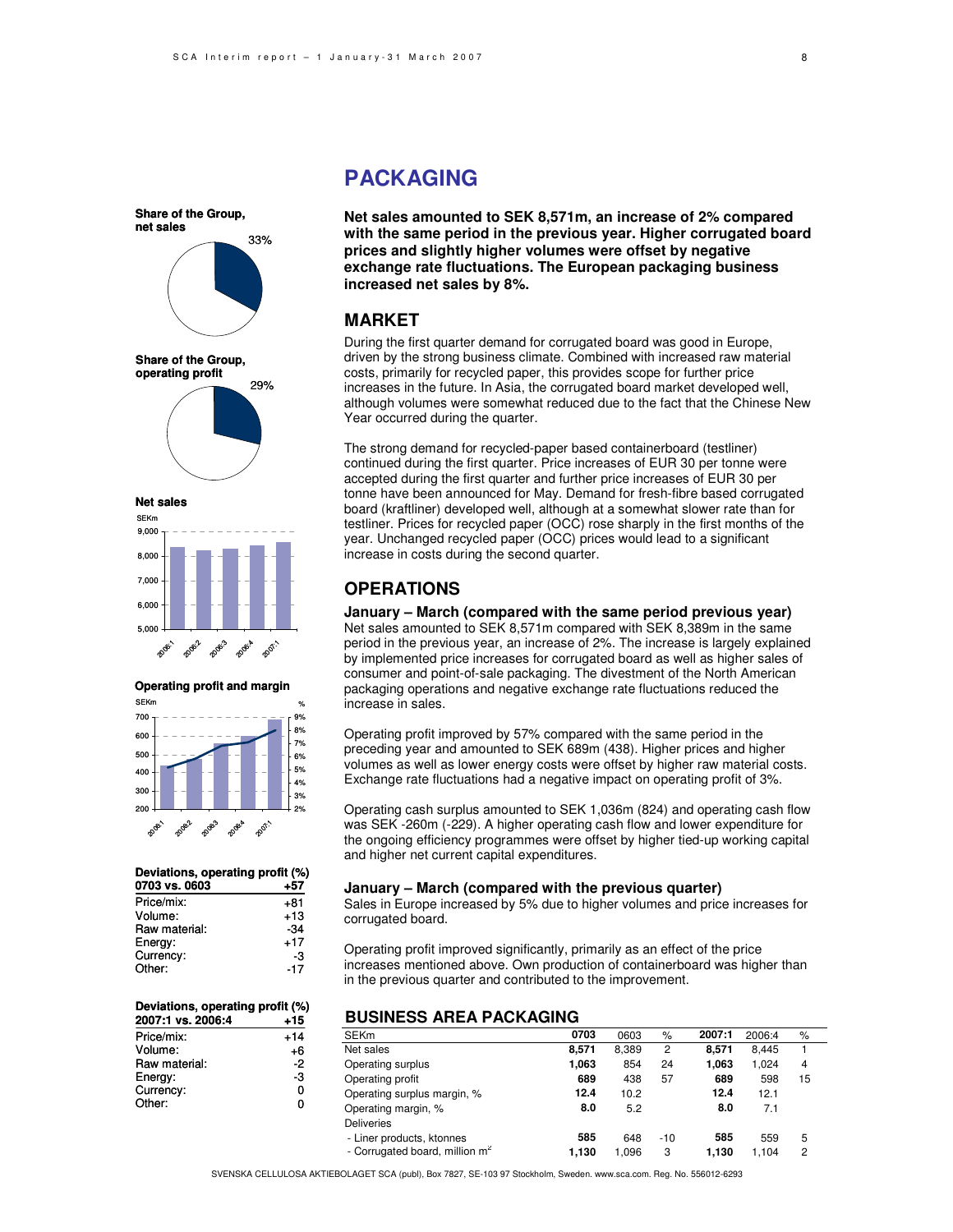33% 29% **net sales Share of the Group, operating profit**

**Share of the Group,**

**Net sales**





| Deviations, operating profit (%) |       |  |  |
|----------------------------------|-------|--|--|
| 0703 vs. 0603                    | +57   |  |  |
| Price/mix:                       | +81   |  |  |
| Volume:                          | $+13$ |  |  |
| Raw material:                    | $-34$ |  |  |
| Energy:                          | $+17$ |  |  |
| Currency:                        | -3    |  |  |
| Other:                           | -17   |  |  |

#### **+15** +14 +6 -2 **Deviations, operating profit (%) 2007:1 vs. 2006:4** Price/mix: Volume:

| Raw material: | -2 |
|---------------|----|
| Energy:       | -3 |
| Currency:     | o  |
| Other:        | 0  |

### **PACKAGING**

**Net sales amounted to SEK 8,571m, an increase of 2% compared with the same period in the previous year. Higher corrugated board prices and slightly higher volumes were offset by negative exchange rate fluctuations. The European packaging business increased net sales by 8%.**

#### **MARKET**

During the first quarter demand for corrugated board was good in Europe, driven by the strong business climate. Combined with increased raw material costs, primarily for recycled paper, this provides scope for further price increases in the future. In Asia, the corrugated board market developed well, although volumes were somewhat reduced due to the fact that the Chinese New Year occurred during the quarter.

The strong demand for recycled-paper based containerboard (testliner) continued during the first quarter. Price increases of EUR 30 per tonne were accepted during the first quarter and further price increases of EUR 30 per tonne have been announced for May. Demand for fresh-fibre based corrugated board (kraftliner) developed well, although at a somewhat slower rate than for testliner. Prices for recycled paper (OCC) rose sharply in the first months of the year. Unchanged recycled paper (OCC) prices would lead to a significant increase in costs during the second quarter.

### **OPERATIONS**

**January – March (compared with the same period previous year)** Net sales amounted to SEK 8,571m compared with SEK 8,389m in the same period in the previous year, an increase of 2%. The increase is largely explained by implemented price increases for corrugated board as well as higher sales of consumer and point-of-sale packaging. The divestment of the North American packaging operations and negative exchange rate fluctuations reduced the increase in sales.

Operating profit improved by 57% compared with the same period in the preceding year and amounted to SEK 689m (438). Higher prices and higher volumes as well as lower energy costs were offset by higher raw material costs. Exchange rate fluctuations had a negative impact on operating profit of 3%.

Operating cash surplus amounted to SEK 1,036m (824) and operating cash flow was SEK -260m (-229). A higher operating cash flow and lower expenditure for the ongoing efficiency programmes were offset by higher tied-up working capital and higher net current capital expenditures.

#### **January – March (compared with the previous quarter)**

Sales in Europe increased by 5% due to higher volumes and price increases for corrugated board.

Operating profit improved significantly, primarily as an effect of the price increases mentioned above. Own production of containerboard was higher than in the previous quarter and contributed to the improvement.

### **BUSINESS AREA PACKAGING**

| <b>SEKm</b>                                | 0703  | 0603  | $\%$  | 2007:1 | 2006:4 | %  |
|--------------------------------------------|-------|-------|-------|--------|--------|----|
| Net sales                                  | 8.571 | 8,389 | 2     | 8.571  | 8.445  |    |
| Operating surplus                          | 1.063 | 854   | 24    | 1.063  | 1.024  | 4  |
| Operating profit                           | 689   | 438   | 57    | 689    | 598    | 15 |
| Operating surplus margin, %                | 12.4  | 10.2  |       | 12.4   | 12.1   |    |
| Operating margin, %                        | 8.0   | 5.2   |       | 8.0    | 7.1    |    |
| <b>Deliveries</b>                          |       |       |       |        |        |    |
| - Liner products, ktonnes                  | 585   | 648   | $-10$ | 585    | 559    | 5  |
| - Corrugated board, million m <sup>2</sup> | 1.130 | 1.096 | 3     | 1.130  | 1.104  | 2  |

SVENSKA CELLULOSA AKTIEBOLAGET SCA (publ), Box 7827, SE-103 97 Stockholm, Sweden. www.sca.com. Reg. No. 556012-6293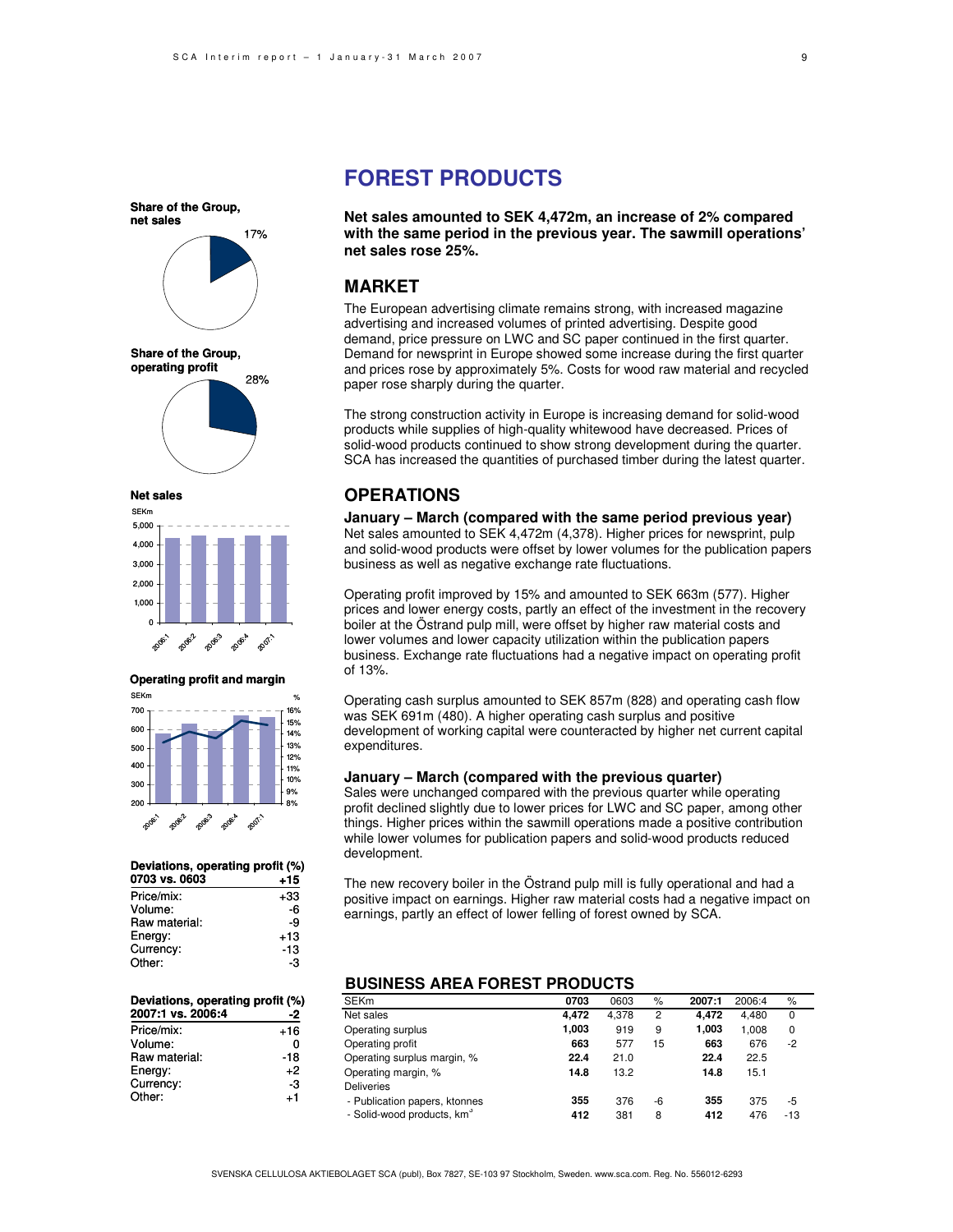17% 28% **Share of the Group, net sales Share of the Group, operating profit**

**Net sales**



**Operating profit and margin**



| Deviations, operating profit (%) |       |
|----------------------------------|-------|
| 0703 vs. 0603                    | $+15$ |
| Price/mix:                       | +33   |
| Volume:                          | -6    |
| Raw material:                    | -9    |
| Energy:                          | $+13$ |
| Currency:                        | -13   |
| Other:                           | -3    |

| Deviations, operating profit (%) |       |
|----------------------------------|-------|
| 2007:1 vs. 2006:4                | -2    |
| Price/mix:                       | $+16$ |
| Volume:                          | O     |
| Raw material:                    | -18   |
| Energy:                          | $+2$  |
| Currency:                        | -3    |
| Other:                           | +1    |
|                                  |       |

### **FOREST PRODUCTS**

**Net sales amounted to SEK 4,472m, an increase of 2% compared with the same period in the previous year. The sawmill operations' net sales rose 25%.**

### **MARKET**

The European advertising climate remains strong, with increased magazine advertising and increased volumes of printed advertising. Despite good demand, price pressure on LWC and SC paper continued in the first quarter. Demand for newsprint in Europe showed some increase during the first quarter and prices rose by approximately 5%. Costs for wood raw material and recycled paper rose sharply during the quarter.

The strong construction activity in Europe is increasing demand for solid-wood products while supplies of high-quality whitewood have decreased. Prices of solid-wood products continued to show strong development during the quarter. SCA has increased the quantities of purchased timber during the latest quarter.

### **OPERATIONS**

**January – March (compared with the same period previous year)** Net sales amounted to SEK 4,472m (4,378). Higher prices for newsprint, pulp and solid-wood products were offset by lower volumes for the publication papers business as well as negative exchange rate fluctuations.

Operating profit improved by 15% and amounted to SEK 663m (577). Higher prices and lower energy costs, partly an effect of the investment in the recovery boiler at the Östrand pulp mill, were offset by higher raw material costs and lower volumes and lower capacity utilization within the publication papers business. Exchange rate fluctuations had a negative impact on operating profit of 13%.

Operating cash surplus amounted to SEK 857m (828) and operating cash flow was SEK 691m (480). A higher operating cash surplus and positive development of working capital were counteracted by higher net current capital expenditures.

#### **January – March (compared with the previous quarter)**

Sales were unchanged compared with the previous quarter while operating profit declined slightly due to lower prices for LWC and SC paper, among other things. Higher prices within the sawmill operations made a positive contribution while lower volumes for publication papers and solid-wood products reduced development.

The new recovery boiler in the Östrand pulp mill is fully operational and had a positive impact on earnings. Higher raw material costs had a negative impact on earnings, partly an effect of lower felling of forest owned by SCA.

### **BUSINESS AREA FOREST PRODUCTS**

| <b>SEKm</b>                            | 0703  | 0603  | %  | 2007:1 | 2006:4 | %     |
|----------------------------------------|-------|-------|----|--------|--------|-------|
| Net sales                              | 4.472 | 4.378 | 2  | 4.472  | 4.480  | 0     |
| Operating surplus                      | 1,003 | 919   | 9  | 1.003  | 1.008  | 0     |
| Operating profit                       | 663   | 577   | 15 | 663    | 676    | $-2$  |
| Operating surplus margin, %            | 22.4  | 21.0  |    | 22.4   | 22.5   |       |
| Operating margin, %                    | 14.8  | 13.2  |    | 14.8   | 15.1   |       |
| <b>Deliveries</b>                      |       |       |    |        |        |       |
| - Publication papers, ktonnes          | 355   | 376   | -6 | 355    | 375    | -5    |
| - Solid-wood products, km <sup>3</sup> | 412   | 381   | 8  | 412    | 476    | $-13$ |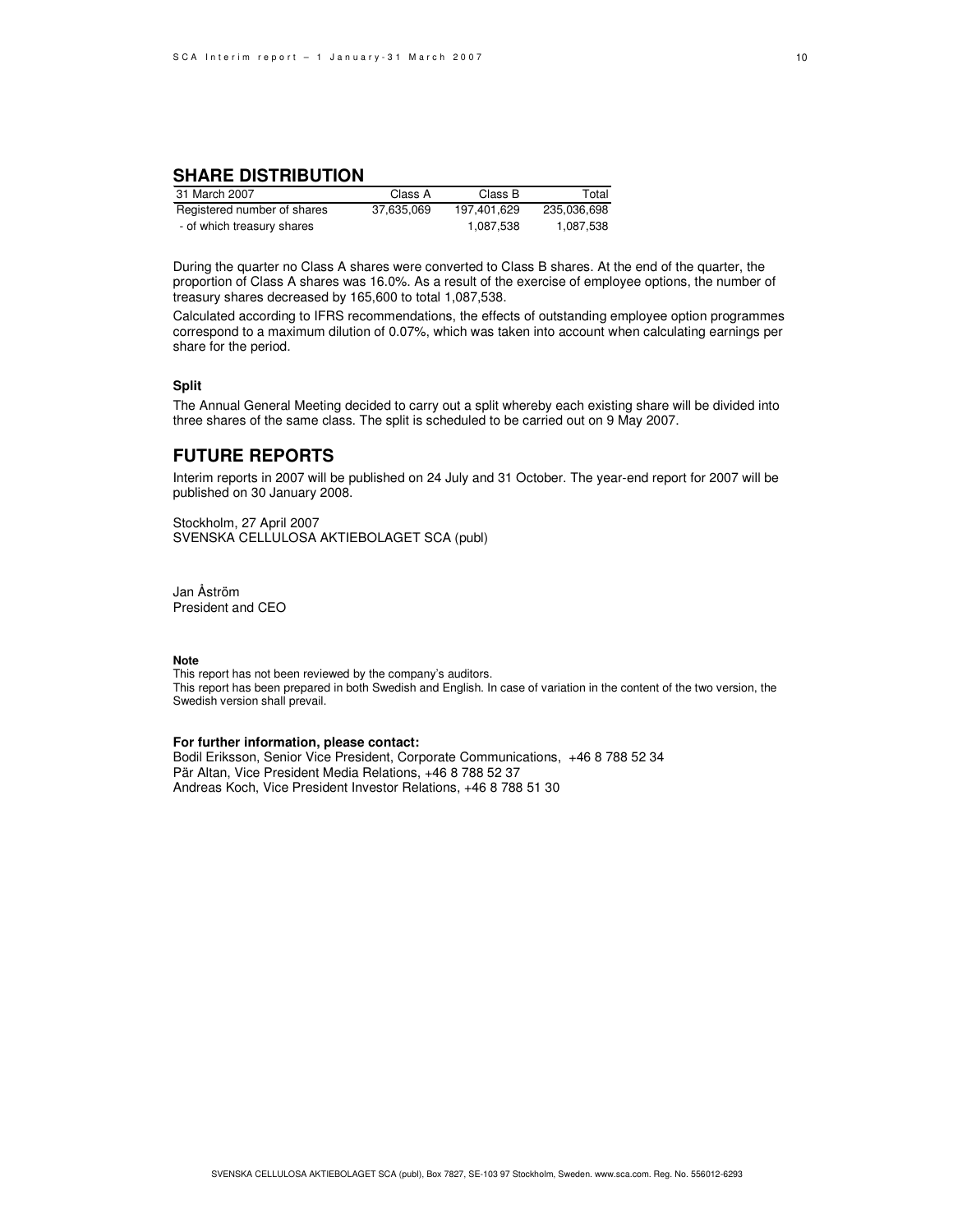#### **SHARE DISTRIBUTION**

| 31 March 2007               | Class A    | Class B     | Total       |
|-----------------------------|------------|-------------|-------------|
| Registered number of shares | 37.635.069 | 197.401.629 | 235.036.698 |
| - of which treasury shares  |            | 1,087,538   | 1.087.538   |

During the quarter no Class A shares were converted to Class B shares. At the end of the quarter, the proportion of Class A shares was 16.0%. As a result of the exercise of employee options, the number of treasury shares decreased by 165,600 to total 1,087,538.

Calculated according to IFRS recommendations, the effects of outstanding employee option programmes correspond to a maximum dilution of 0.07%, which was taken into account when calculating earnings per share for the period.

#### **Split**

The Annual General Meeting decided to carry out a split whereby each existing share will be divided into three shares of the same class. The split is scheduled to be carried out on 9 May 2007.

### **FUTURE REPORTS**

Interim reports in 2007 will be published on 24 July and 31 October. The year-end report for 2007 will be published on 30 January 2008.

Stockholm, 27 April 2007 SVENSKA CELLULOSA AKTIEBOLAGET SCA (publ)

Jan Åström President and CEO

#### **Note**

This report has not been reviewed by the company's auditors. This report has been prepared in both Swedish and English. In case of variation in the content of the two version, the Swedish version shall prevail.

#### **For further information, please contact:**

Bodil Eriksson, Senior Vice President, Corporate Communications, +46 8 788 52 34 Pär Altan, Vice President Media Relations, +46 8 788 52 37 Andreas Koch, Vice President Investor Relations, +46 8 788 51 30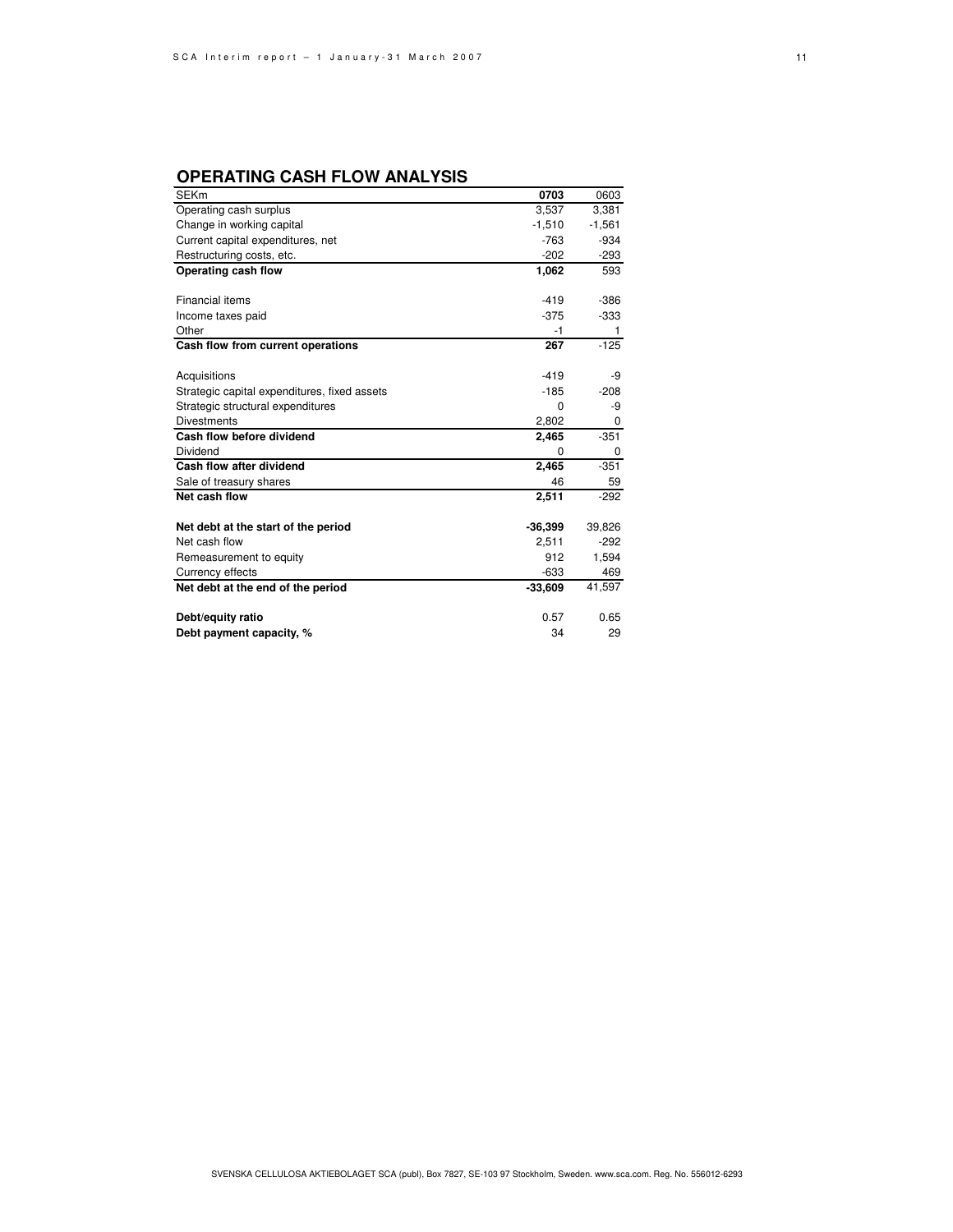### **OPERATING CASH FLOW ANALYSIS**

| <b>SEKm</b>                                  | 0703      | 0603     |
|----------------------------------------------|-----------|----------|
| Operating cash surplus                       | 3,537     | 3,381    |
| Change in working capital                    | $-1,510$  | $-1,561$ |
| Current capital expenditures, net            | $-763$    | $-934$   |
| Restructuring costs, etc.                    | $-202$    | $-293$   |
| Operating cash flow                          | 1,062     | 593      |
|                                              |           |          |
| Financial items                              | $-419$    | $-386$   |
| Income taxes paid                            | $-375$    | $-333$   |
| Other                                        | -1        |          |
| Cash flow from current operations            | 267       | $-125$   |
|                                              |           |          |
| Acquisitions                                 | $-419$    | -9       |
| Strategic capital expenditures, fixed assets | $-185$    | $-208$   |
| Strategic structural expenditures            | $\Omega$  | -9       |
| <b>Divestments</b>                           | 2,802     |          |
| Cash flow before dividend                    | 2,465     | $-351$   |
| Dividend                                     | 0         | 0        |
| Cash flow after dividend                     | 2,465     | $-351$   |
| Sale of treasury shares                      | 46        | 59       |
| Net cash flow                                | 2,511     | $-292$   |
|                                              |           |          |
| Net debt at the start of the period          | $-36,399$ | 39,826   |
| Net cash flow                                | 2,511     | $-292$   |
| Remeasurement to equity                      | 912       | 1,594    |
| Currency effects                             | -633      | 469      |
| Net debt at the end of the period            | $-33,609$ | 41,597   |
|                                              |           |          |
| Debt/equity ratio                            | 0.57      | 0.65     |
| Debt payment capacity, %                     | 34        | 29       |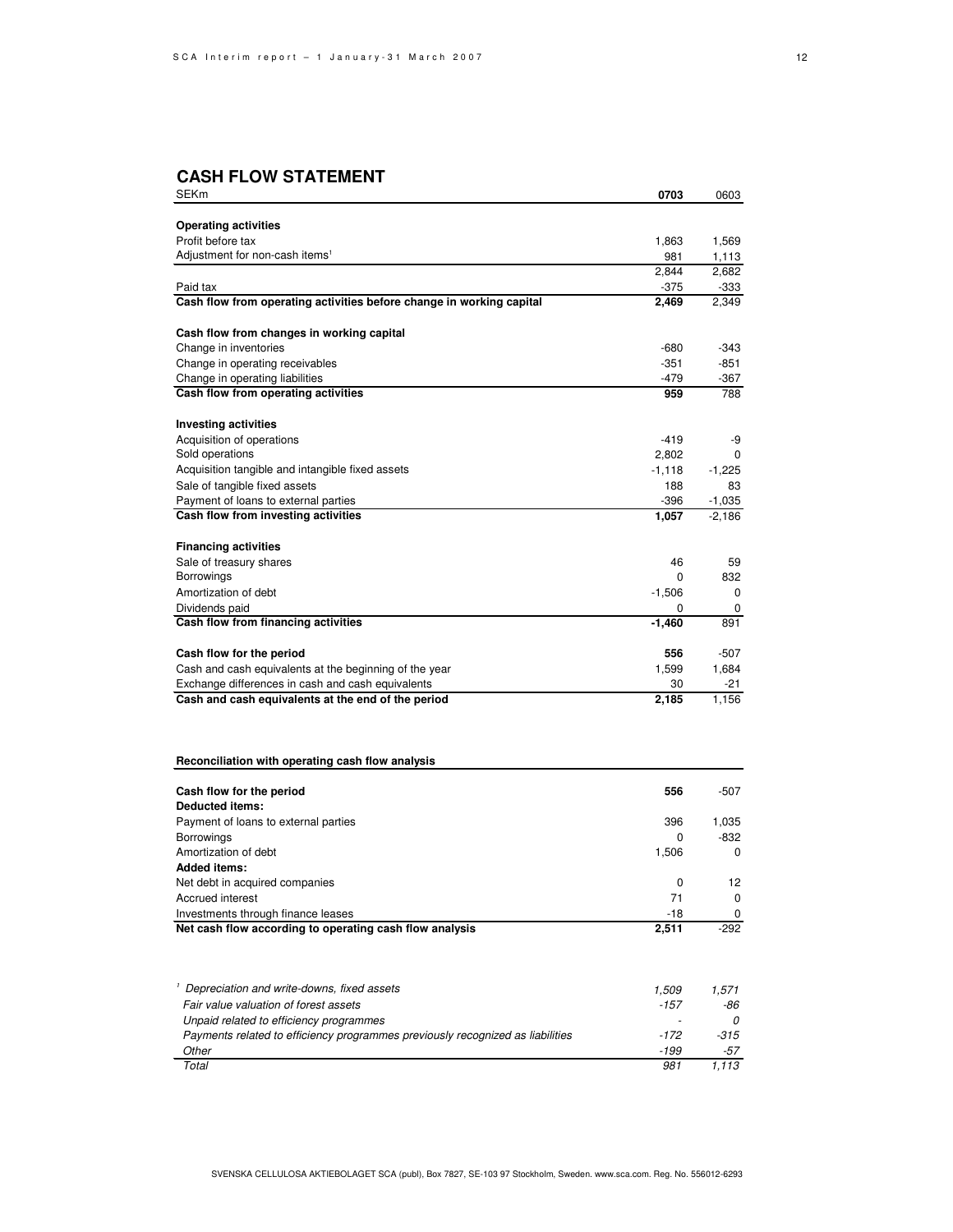### **CASH FLOW STATEMENT**

| SEKm                                                                           | 0703            | 0603          |
|--------------------------------------------------------------------------------|-----------------|---------------|
|                                                                                |                 |               |
| <b>Operating activities</b>                                                    |                 |               |
| Profit before tax                                                              | 1,863           | 1,569         |
| Adjustment for non-cash items <sup>1</sup>                                     | 981             | 1,113         |
| Paid tax                                                                       | 2,844<br>$-375$ | 2,682<br>-333 |
| Cash flow from operating activities before change in working capital           | 2,469           | 2,349         |
|                                                                                |                 |               |
| Cash flow from changes in working capital                                      |                 |               |
| Change in inventories                                                          | $-680$          | -343          |
| Change in operating receivables                                                | $-351$          | $-851$        |
| Change in operating liabilities                                                | -479            | -367          |
| Cash flow from operating activities                                            | 959             | 788           |
| <b>Investing activities</b>                                                    |                 |               |
| Acquisition of operations                                                      | $-419$          | -9            |
| Sold operations                                                                | 2,802           | 0             |
| Acquisition tangible and intangible fixed assets                               | $-1,118$        | $-1,225$      |
| Sale of tangible fixed assets                                                  | 188             | 83            |
| Payment of loans to external parties                                           | $-396$          | $-1,035$      |
| Cash flow from investing activities                                            | 1,057           | $-2,186$      |
| <b>Financing activities</b>                                                    |                 |               |
| Sale of treasury shares                                                        | 46              | 59            |
| Borrowings                                                                     | 0               | 832           |
| Amortization of debt                                                           | $-1,506$        | 0             |
| Dividends paid                                                                 | 0               | 0             |
| Cash flow from financing activities                                            | -1,460          | 891           |
| Cash flow for the period                                                       | 556             | -507          |
| Cash and cash equivalents at the beginning of the year                         | 1,599           | 1,684         |
| Exchange differences in cash and cash equivalents                              | 30              | -21           |
| Cash and cash equivalents at the end of the period                             | 2,185           | 1,156         |
|                                                                                |                 |               |
| Reconciliation with operating cash flow analysis                               |                 |               |
|                                                                                |                 |               |
| Cash flow for the period<br><b>Deducted items:</b>                             | 556             | -507          |
| Payment of loans to external parties                                           | 396             | 1,035         |
| Borrowings                                                                     | 0               | -832          |
| Amortization of debt                                                           | 1,506           | 0             |
| <b>Added items:</b>                                                            |                 |               |
| Net debt in acquired companies                                                 | 0               | 12            |
| Accrued interest                                                               | 71              | 0             |
| Investments through finance leases                                             | $-18$           | 0             |
| Net cash flow according to operating cash flow analysis                        | 2,511           | $-292$        |
|                                                                                |                 |               |
| <sup>1</sup> Depreciation and write-downs, fixed assets                        | 1,509           | 1,571         |
| Fair value valuation of forest assets                                          | -157            | -86           |
| Unpaid related to efficiency programmes                                        |                 | 0             |
| Payments related to efficiency programmes previously recognized as liabilities | -172            | -315          |
| Other                                                                          | -199            | -57           |
| Total                                                                          | 981             | 1,113         |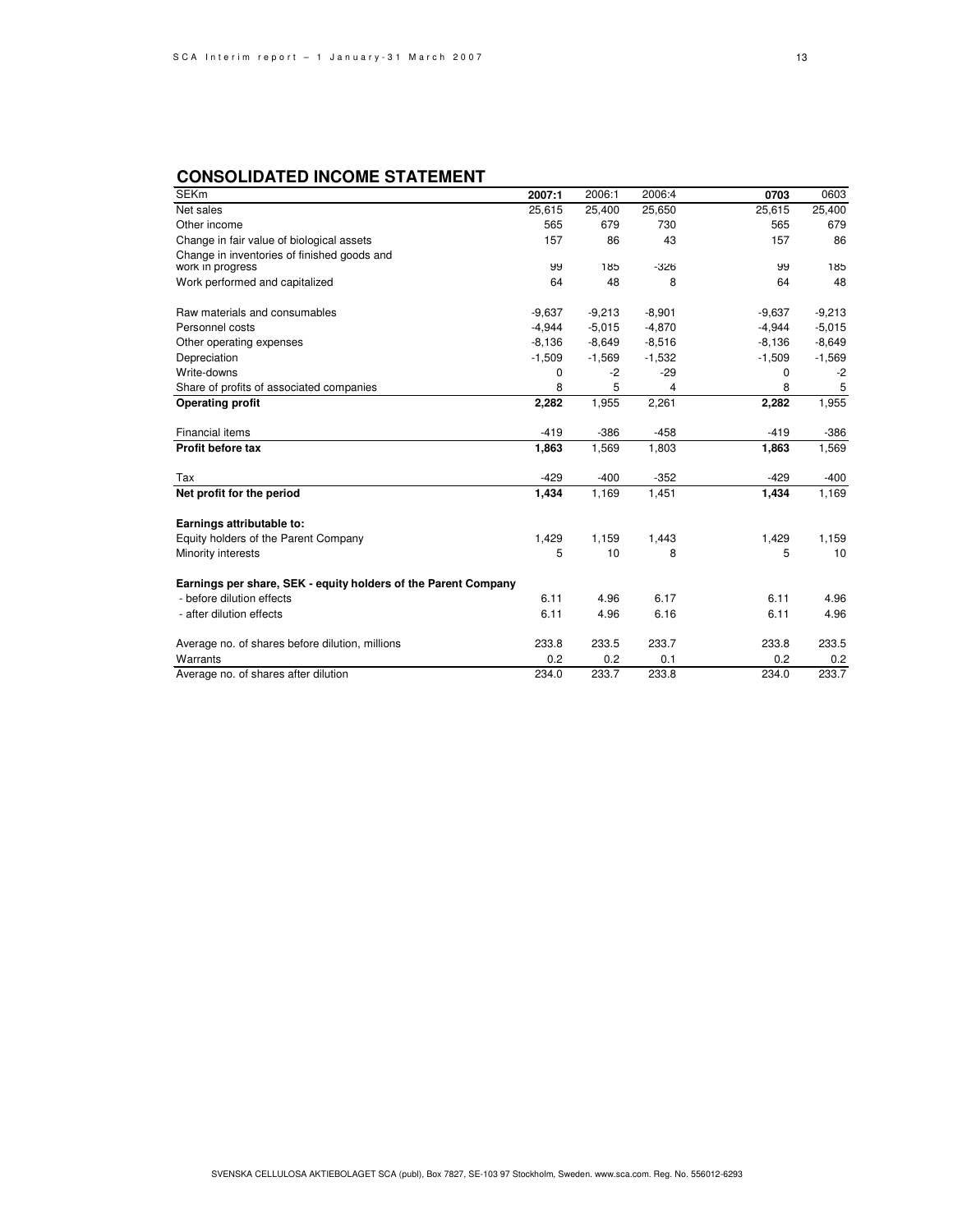### **CONSOLIDATED INCOME STATEMENT**

| <b>SEKm</b>                                                    | 2007:1   | 2006:1   | 2006:4   | 0703     | 0603     |
|----------------------------------------------------------------|----------|----------|----------|----------|----------|
| Net sales                                                      | 25,615   | 25,400   | 25,650   | 25,615   | 25,400   |
| Other income                                                   | 565      | 679      | 730      | 565      | 679      |
| Change in fair value of biological assets                      | 157      | 86       | 43       | 157      | 86       |
| Change in inventories of finished goods and                    |          |          |          |          |          |
| work in progress                                               | 99       | 185      | $-326$   | 99       | 185      |
| Work performed and capitalized                                 | 64       | 48       | 8        | 64       | 48       |
| Raw materials and consumables                                  | $-9,637$ | $-9,213$ | $-8,901$ | $-9,637$ | $-9,213$ |
| Personnel costs                                                | $-4,944$ | $-5,015$ | $-4,870$ | $-4,944$ | $-5,015$ |
| Other operating expenses                                       | $-8,136$ | $-8,649$ | $-8,516$ | $-8,136$ | $-8,649$ |
| Depreciation                                                   | $-1,509$ | $-1,569$ | $-1,532$ | $-1,509$ | $-1,569$ |
| Write-downs                                                    | 0        | $-2$     | $-29$    | 0        | $-2$     |
| Share of profits of associated companies                       | 8        | 5        | 4        | 8        | 5        |
| Operating profit                                               | 2,282    | 1,955    | 2,261    | 2,282    | 1,955    |
| <b>Financial items</b>                                         | $-419$   | $-386$   | $-458$   | $-419$   | $-386$   |
| Profit before tax                                              | 1,863    | 1,569    | 1,803    | 1,863    | 1,569    |
| Tax                                                            | $-429$   | $-400$   | $-352$   | $-429$   | $-400$   |
| Net profit for the period                                      | 1,434    | 1,169    | 1,451    | 1,434    | 1,169    |
| Earnings attributable to:                                      |          |          |          |          |          |
| Equity holders of the Parent Company                           | 1,429    | 1,159    | 1,443    | 1,429    | 1,159    |
| Minority interests                                             | 5        | 10       | 8        | 5        | 10       |
| Earnings per share, SEK - equity holders of the Parent Company |          |          |          |          |          |
| - before dilution effects                                      | 6.11     | 4.96     | 6.17     | 6.11     | 4.96     |
| - after dilution effects                                       | 6.11     | 4.96     | 6.16     | 6.11     | 4.96     |
| Average no. of shares before dilution, millions                | 233.8    | 233.5    | 233.7    | 233.8    | 233.5    |
| Warrants                                                       | 0.2      | 0.2      | 0.1      | 0.2      | 0.2      |
| Average no. of shares after dilution                           | 234.0    | 233.7    | 233.8    | 234.0    | 233.7    |

13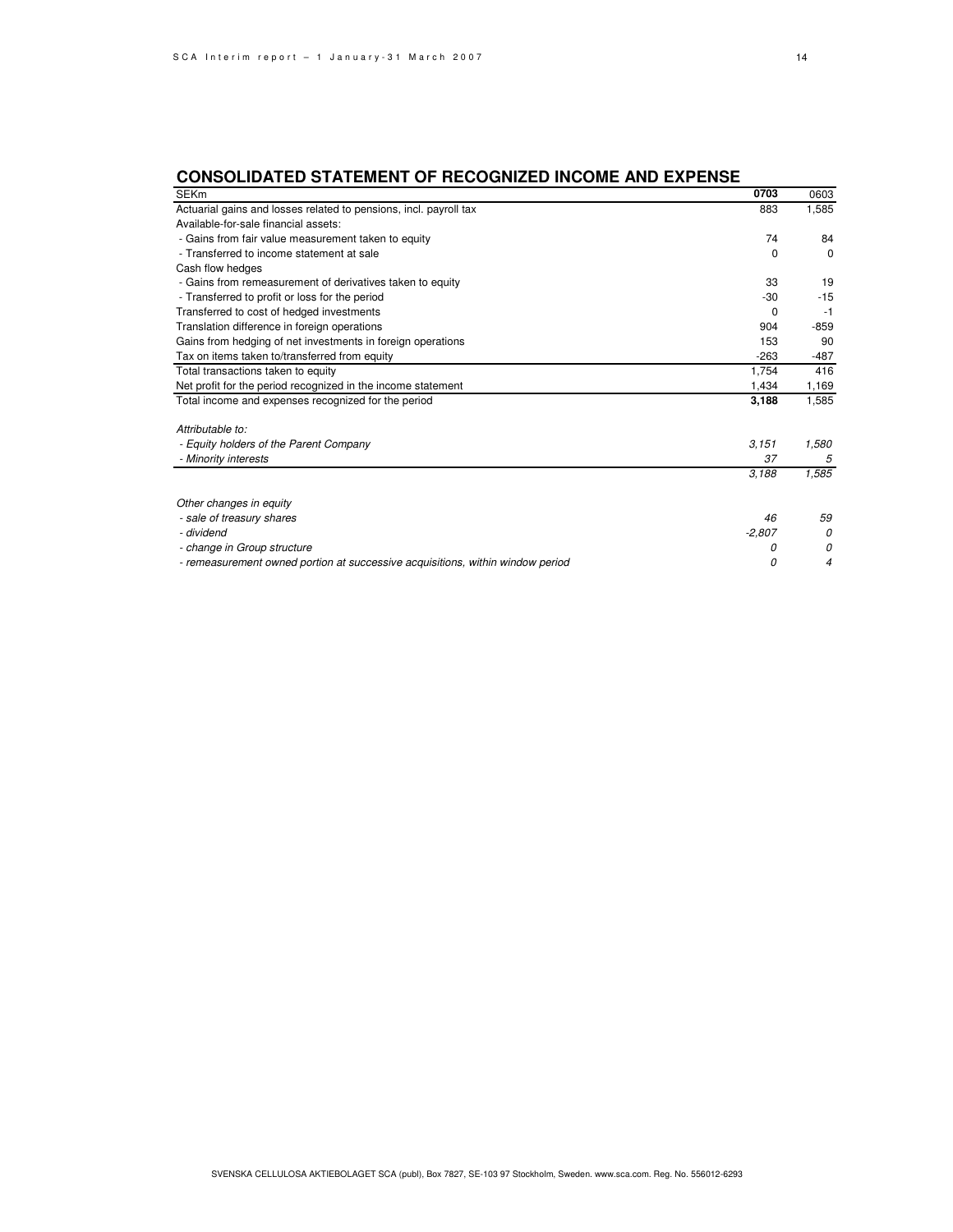## **CONSOLIDATED STATEMENT OF RECOGNIZED INCOME AND EXPENSE**

| <b>SEKm</b>                                                                    | 0703     | 0603     |
|--------------------------------------------------------------------------------|----------|----------|
| Actuarial gains and losses related to pensions, incl. payroll tax              | 883      | 1,585    |
| Available-for-sale financial assets:                                           |          |          |
| - Gains from fair value measurement taken to equity                            | 74       | 84       |
| - Transferred to income statement at sale                                      | $\Omega$ | $\Omega$ |
| Cash flow hedges                                                               |          |          |
| - Gains from remeasurement of derivatives taken to equity                      | 33       | 19       |
| - Transferred to profit or loss for the period                                 | $-30$    | $-15$    |
| Transferred to cost of hedged investments                                      | 0        | $-1$     |
| Translation difference in foreign operations                                   | 904      | $-859$   |
| Gains from hedging of net investments in foreign operations                    | 153      | 90       |
| Tax on items taken to/transferred from equity                                  | $-263$   | $-487$   |
| Total transactions taken to equity                                             | 1,754    | 416      |
| Net profit for the period recognized in the income statement                   | 1,434    | 1,169    |
| Total income and expenses recognized for the period                            | 3,188    | 1,585    |
|                                                                                |          |          |
| Attributable to:                                                               |          |          |
| - Equity holders of the Parent Company                                         | 3.151    | 1,580    |
| - Minority interests                                                           | 37       | 5        |
|                                                                                | 3,188    | 1,585    |
|                                                                                |          |          |
| Other changes in equity                                                        |          |          |
| - sale of treasury shares                                                      | 46       | 59       |
| - dividend                                                                     | $-2,807$ | 0        |
| - change in Group structure                                                    | 0        | 0        |
| - remeasurement owned portion at successive acquisitions, within window period | 0        | 4        |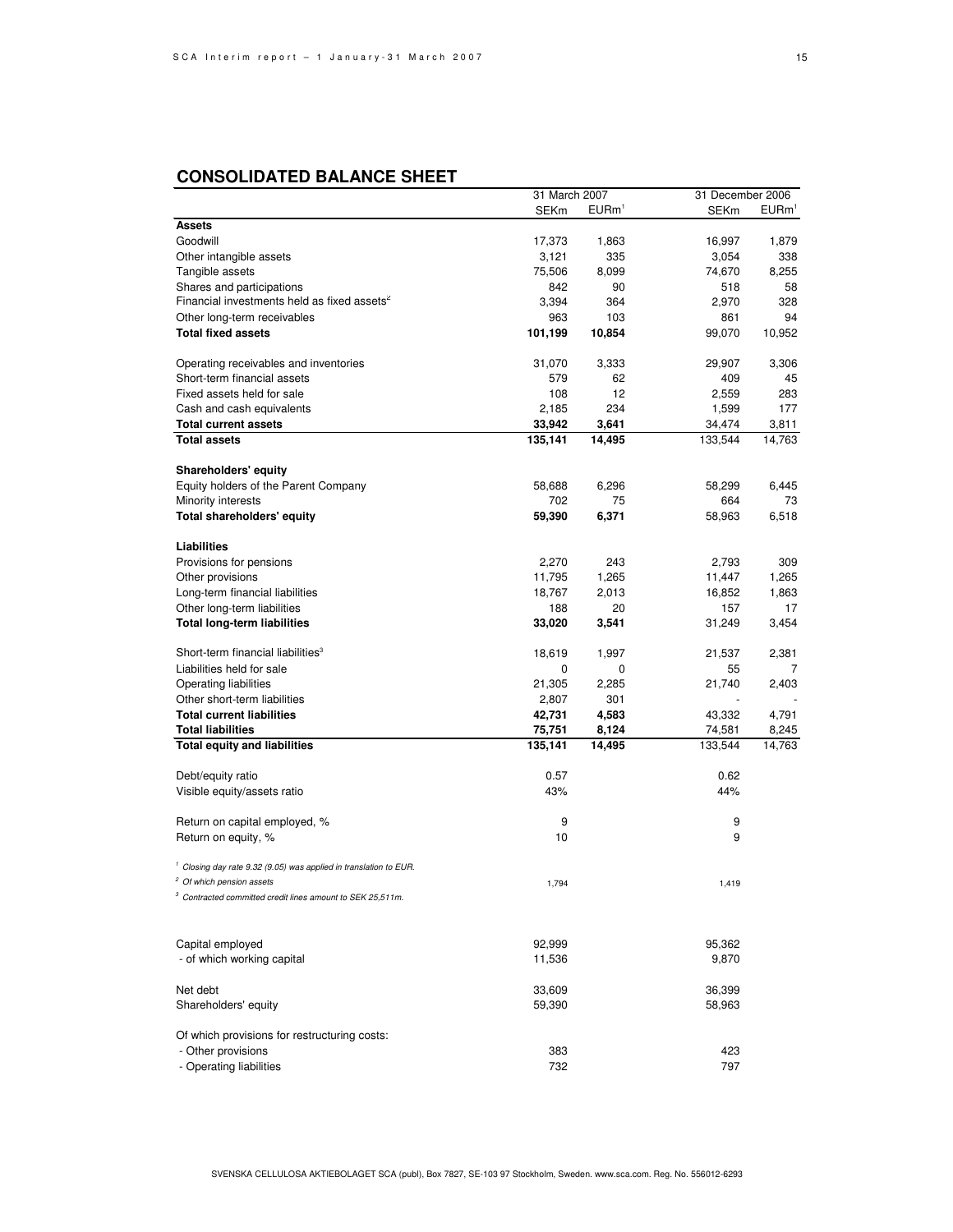|                                                                                      | 31 March 2007     |                   | 31 December 2006  |                      |
|--------------------------------------------------------------------------------------|-------------------|-------------------|-------------------|----------------------|
|                                                                                      | <b>SEKm</b>       | EURm <sup>1</sup> | <b>SEKm</b>       | $E$ URm <sup>1</sup> |
| <b>Assets</b>                                                                        |                   |                   |                   |                      |
| Goodwill                                                                             | 17,373            | 1,863             | 16,997            | 1,879                |
| Other intangible assets                                                              | 3,121             | 335               | 3,054             | 338                  |
| Tangible assets                                                                      | 75,506            | 8,099             | 74,670            | 8,255                |
|                                                                                      | 842               | 90                | 518               | 58                   |
| Shares and participations<br>Financial investments held as fixed assets <sup>2</sup> |                   |                   |                   |                      |
|                                                                                      | 3,394             | 364               | 2,970             | 328                  |
| Other long-term receivables                                                          | 963               | 103               | 861               | 94                   |
| <b>Total fixed assets</b>                                                            | 101,199           | 10,854            | 99,070            | 10,952               |
| Operating receivables and inventories                                                | 31,070            | 3,333             | 29,907            | 3,306                |
| Short-term financial assets                                                          | 579               | 62                | 409               | 45                   |
| Fixed assets held for sale                                                           | 108               | 12                | 2,559             | 283                  |
| Cash and cash equivalents                                                            | 2,185             | 234               | 1,599             | 177                  |
| <b>Total current assets</b>                                                          | 33,942            | 3,641             | 34,474            | 3,811                |
| <b>Total assets</b>                                                                  | 135,141           | 14,495            | 133,544           | 14,763               |
|                                                                                      |                   |                   |                   |                      |
| <b>Shareholders' equity</b>                                                          |                   |                   |                   |                      |
| Equity holders of the Parent Company                                                 | 58,688            | 6,296             | 58,299            | 6,445                |
| Minority interests                                                                   | 702               | 75                | 664               | 73                   |
| Total shareholders' equity                                                           | 59,390            | 6,371             | 58,963            | 6,518                |
| Liabilities                                                                          |                   |                   |                   |                      |
| Provisions for pensions                                                              | 2,270             | 243               | 2,793             | 309                  |
| Other provisions                                                                     | 11,795            | 1,265             | 11,447            | 1,265                |
| Long-term financial liabilities                                                      | 18,767            | 2,013             | 16,852            | 1,863                |
|                                                                                      | 188               | 20                | 157               | 17                   |
| Other long-term liabilities                                                          |                   |                   |                   |                      |
| <b>Total long-term liabilities</b>                                                   | 33,020            | 3,541             | 31,249            | 3,454                |
| Short-term financial liabilities <sup>3</sup>                                        | 18,619            | 1,997             | 21,537            | 2,381                |
| Liabilities held for sale                                                            | 0                 | 0                 | 55                | 7                    |
| Operating liabilities                                                                | 21,305            | 2,285             | 21,740            | 2,403                |
| Other short-term liabilities                                                         | 2,807             | 301               |                   |                      |
| <b>Total current liabilities</b>                                                     | 42,731            | 4,583             | 43,332            | 4,791                |
|                                                                                      |                   |                   |                   |                      |
| <b>Total liabilities</b><br><b>Total equity and liabilities</b>                      | 75,751<br>135,141 | 8,124<br>14,495   | 74,581<br>133,544 | 8,245<br>14,763      |
|                                                                                      |                   |                   |                   |                      |
| Debt/equity ratio                                                                    | 0.57              |                   | 0.62              |                      |
| Visible equity/assets ratio                                                          | 43%               |                   | 44%               |                      |
| Return on capital employed, %                                                        | 9                 |                   | 9                 |                      |
| Return on equity, %                                                                  | 10                |                   | 9                 |                      |
| <sup>1</sup> Closing day rate 9.32 (9.05) was applied in translation to EUR.         |                   |                   |                   |                      |
| <sup>2</sup> Of which pension assets                                                 | 1,794             |                   | 1,419             |                      |
| 3<br>Contracted committed credit lines amount to SEK 25,511m.                        |                   |                   |                   |                      |
|                                                                                      |                   |                   |                   |                      |
|                                                                                      |                   |                   |                   |                      |
| Capital employed                                                                     | 92,999            |                   | 95,362            |                      |
| - of which working capital                                                           | 11,536            |                   | 9,870             |                      |
| Net debt                                                                             | 33,609            |                   | 36,399            |                      |
| Shareholders' equity                                                                 | 59,390            |                   | 58,963            |                      |
| Of which provisions for restructuring costs:                                         |                   |                   |                   |                      |
| - Other provisions                                                                   | 383               |                   | 423               |                      |
| - Operating liabilities                                                              | 732               |                   | 797               |                      |
|                                                                                      |                   |                   |                   |                      |